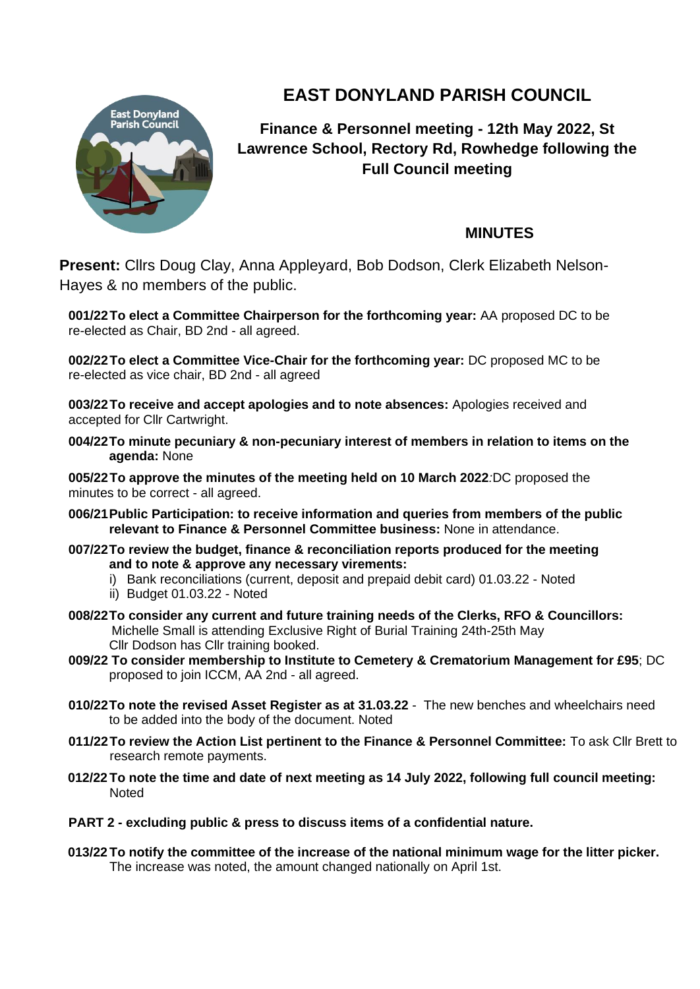

## **EAST DONYLAND PARISH COUNCIL**

**Finance & Personnel meeting - 12th May 2022, St Lawrence School, Rectory Rd, Rowhedge following the Full Council meeting**

## **MINUTES**

**Present:** Cllrs Doug Clay, Anna Appleyard, Bob Dodson, Clerk Elizabeth Nelson-Hayes & no members of the public.

**001/22To elect a Committee Chairperson for the forthcoming year:** AA proposed DC to be re-elected as Chair, BD 2nd - all agreed.

**002/22To elect a Committee Vice-Chair for the forthcoming year:** DC proposed MC to be re-elected as vice chair, BD 2nd - all agreed

**003/22To receive and accept apologies and to note absences:** Apologies received and accepted for Cllr Cartwright.

**004/22To minute pecuniary & non-pecuniary interest of members in relation to items on the agenda:** None

**005/22To approve the minutes of the meeting held on 10 March 2022***:*DC proposed the minutes to be correct - all agreed.

- **006/21Public Participation: to receive information and queries from members of the public relevant to Finance & Personnel Committee business:** None in attendance.
- **007/22To review the budget, finance & reconciliation reports produced for the meeting and to note & approve any necessary virements:**
	- i) Bank reconciliations (current, deposit and prepaid debit card) 01.03.22 Noted
	- ii) Budget 01.03.22 Noted
- **008/22To consider any current and future training needs of the Clerks, RFO & Councillors:** Michelle Small is attending Exclusive Right of Burial Training 24th-25th May Cllr Dodson has Cllr training booked.
- **009/22 To consider membership to Institute to Cemetery & Crematorium Management for £95**; DC proposed to join ICCM, AA 2nd - all agreed.
- **010/22To note the revised Asset Register as at 31.03.22** The new benches and wheelchairs need to be added into the body of the document. Noted
- **011/22To review the Action List pertinent to the Finance & Personnel Committee:** To ask Cllr Brett to research remote payments.
- **012/22 To note the time and date of next meeting as 14 July 2022, following full council meeting:**  Noted
- **PART 2 - excluding public & press to discuss items of a confidential nature.**
- **013/22 To notify the committee of the increase of the national minimum wage for the litter picker.** The increase was noted, the amount changed nationally on April 1st.